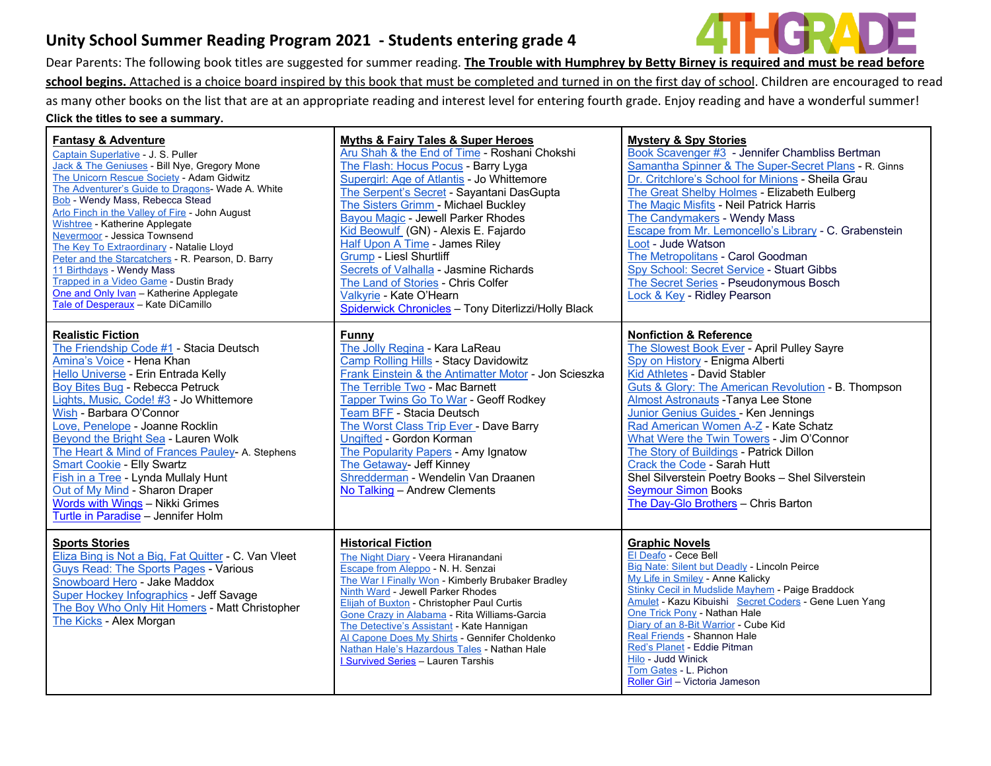# **Unity School Summer Reading Program 2021 - Students entering grade 4**

Dear Parents: The following book titles are suggested for summer reading. **The Trouble with Humphrey by Betty Birney is required and must be read before**  school begins. Attached is a choice board inspired by this book that must be completed and turned in on the first day of school. Children are encouraged to read as many other books on the list that are at an appropriate reading and interest level for entering fourth grade. Enjoy reading and have a wonderful summer! **Click the titles to see a summary.**

| <b>Fantasy &amp; Adventure</b><br>Captain Superlative - J. S. Puller<br>Jack & The Geniuses - Bill Nye, Gregory Mone<br>The Unicorn Rescue Society - Adam Gidwitz<br>The Adventurer's Guide to Dragons- Wade A. White<br><b>Bob</b> - Wendy Mass, Rebecca Stead<br>Arlo Finch in the Valley of Fire - John August<br><b>Wishtree - Katherine Applegate</b><br><b>Nevermoor</b> - Jessica Townsend<br>The Key To Extraordinary - Natalie Lloyd<br>Peter and the Starcatchers - R. Pearson, D. Barry<br>11 Birthdays - Wendy Mass<br>Trapped in a Video Game - Dustin Brady<br>One and Only Ivan - Katherine Applegate<br>Tale of Desperaux - Kate DiCamillo | <b>Myths &amp; Fairy Tales &amp; Super Heroes</b><br>Aru Shah & the End of Time - Roshani Chokshi<br>The Flash: Hocus Pocus - Barry Lyga<br>Supergirl: Age of Atlantis - Jo Whittemore<br>The Serpent's Secret - Sayantani DasGupta<br>The Sisters Grimm - Michael Buckley<br>Bayou Magic - Jewell Parker Rhodes<br>Kid Beowulf (GN) - Alexis E. Fajardo<br>Half Upon A Time - James Riley<br><b>Grump - Liesl Shurtliff</b><br>Secrets of Valhalla - Jasmine Richards<br>The Land of Stories - Chris Colfer<br>Valkyrie - Kate O'Hearn<br>Spiderwick Chronicles - Tony Diterlizzi/Holly Black | <b>Mystery &amp; Spy Stories</b><br>Book Scavenger #3 - Jennifer Chambliss Bertman<br>Samantha Spinner & The Super-Secret Plans - R. Ginns<br>Dr. Critchlore's School for Minions - Sheila Grau<br>The Great Shelby Holmes - Elizabeth Eulberg<br>The Magic Misfits - Neil Patrick Harris<br>The Candymakers - Wendy Mass<br>Escape from Mr. Lemoncello's Library - C. Grabenstein<br>Loot - Jude Watson<br>The Metropolitans - Carol Goodman<br>Spy School: Secret Service - Stuart Gibbs<br>The Secret Series - Pseudonymous Bosch<br>Lock & Key - Ridley Pearson            |
|------------------------------------------------------------------------------------------------------------------------------------------------------------------------------------------------------------------------------------------------------------------------------------------------------------------------------------------------------------------------------------------------------------------------------------------------------------------------------------------------------------------------------------------------------------------------------------------------------------------------------------------------------------|------------------------------------------------------------------------------------------------------------------------------------------------------------------------------------------------------------------------------------------------------------------------------------------------------------------------------------------------------------------------------------------------------------------------------------------------------------------------------------------------------------------------------------------------------------------------------------------------|--------------------------------------------------------------------------------------------------------------------------------------------------------------------------------------------------------------------------------------------------------------------------------------------------------------------------------------------------------------------------------------------------------------------------------------------------------------------------------------------------------------------------------------------------------------------------------|
| <b>Realistic Fiction</b><br>The Friendship Code #1 - Stacia Deutsch<br>Amina's Voice - Hena Khan<br>Hello Universe - Erin Entrada Kelly<br>Boy Bites Bug - Rebecca Petruck<br>Lights, Music, Code! #3 - Jo Whittemore<br>Wish - Barbara O'Connor<br>Love, Penelope - Joanne Rocklin<br>Beyond the Bright Sea - Lauren Wolk<br>The Heart & Mind of Frances Pauley- A. Stephens<br><b>Smart Cookie - Elly Swartz</b><br>Fish in a Tree - Lynda Mullaly Hunt<br>Out of My Mind - Sharon Draper<br>Words with Wings - Nikki Grimes<br>Turtle in Paradise - Jennifer Holm                                                                                       | Funny<br>The Jolly Regina - Kara LaReau<br>Camp Rolling Hills - Stacy Davidowitz<br>Frank Einstein & the Antimatter Motor - Jon Scieszka<br>The Terrible Two - Mac Barnett<br>Tapper Twins Go To War - Geoff Rodkey<br>Team BFF - Stacia Deutsch<br>The Worst Class Trip Ever - Dave Barry<br>Ungifted - Gordon Korman<br>The Popularity Papers - Amy Ignatow<br>The Getaway- Jeff Kinney<br>Shredderman - Wendelin Van Draanen<br>No Talking - Andrew Clements                                                                                                                                | <b>Nonfiction &amp; Reference</b><br>The Slowest Book Ever - April Pulley Sayre<br>Spy on History - Enigma Alberti<br>Kid Athletes - David Stabler<br>Guts & Glory: The American Revolution - B. Thompson<br>Almost Astronauts - Tanya Lee Stone<br>Junior Genius Guides - Ken Jennings<br>Rad American Women A-Z - Kate Schatz<br>What Were the Twin Towers - Jim O'Connor<br>The Story of Buildings - Patrick Dillon<br>Crack the Code - Sarah Hutt<br>Shel Silverstein Poetry Books - Shel Silverstein<br><b>Seymour Simon Books</b><br>The Day-Glo Brothers - Chris Barton |
| <b>Sports Stories</b><br>Eliza Bing is Not a Big, Fat Quitter - C. Van Vleet<br><b>Guys Read: The Sports Pages - Various</b><br>Snowboard Hero - Jake Maddox<br>Super Hockey Infographics - Jeff Savage<br>The Boy Who Only Hit Homers - Matt Christopher<br>The Kicks - Alex Morgan                                                                                                                                                                                                                                                                                                                                                                       | <b>Historical Fiction</b><br>The Night Diary - Veera Hiranandani<br>Escape from Aleppo - N. H. Senzai<br>The War I Finally Won - Kimberly Brubaker Bradley<br>Ninth Ward - Jewell Parker Rhodes<br><b>Elijah of Buxton - Christopher Paul Curtis</b><br>Gone Crazy in Alabama - Rita Williams-Garcia<br>The Detective's Assistant - Kate Hannigan<br>Al Capone Does My Shirts - Gennifer Choldenko<br>Nathan Hale's Hazardous Tales - Nathan Hale<br>Survived Series - Lauren Tarshis                                                                                                          | <b>Graphic Novels</b><br>El Deafo - Cece Bell<br>Big Nate: Silent but Deadly - Lincoln Peirce<br>My Life in Smiley - Anne Kalicky<br><b>Stinky Cecil in Mudslide Mayhem - Paige Braddock</b><br>Amulet - Kazu Kibuishi Secret Coders - Gene Luen Yang<br>One Trick Pony - Nathan Hale<br>Diary of an 8-Bit Warrior - Cube Kid<br>Real Friends - Shannon Hale<br>Red's Planet - Eddie Pitman<br>Hilo - Judd Winick<br>Tom Gates - L. Pichon<br>Roller Girl - Victoria Jameson                                                                                                   |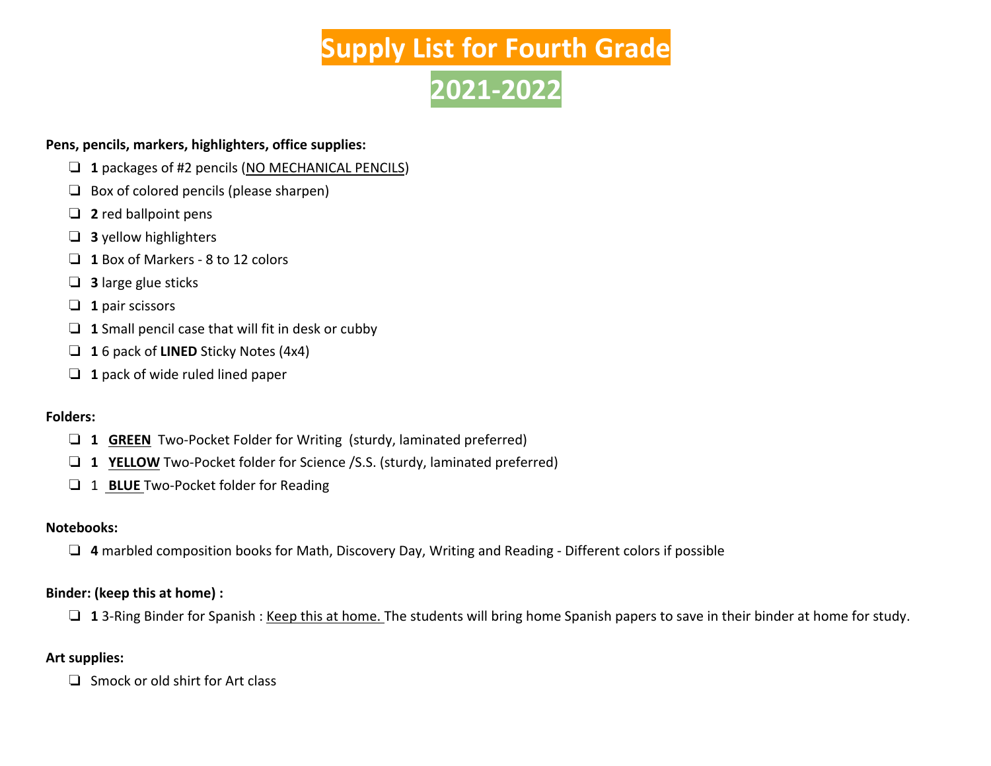# **Supply List for Fourth Grade 2021-2022**

#### **Pens, pencils, markers, highlighters, office supplies:**

- ❏ **1** packages of #2 pencils (NO MECHANICAL PENCILS)
- ❏ Box of colored pencils (please sharpen)
- ❏ **2** red ballpoint pens
- ❏ **3** yellow highlighters
- ❏ **1** Box of Markers 8 to 12 colors
- ❏ **3** large glue sticks
- ❏ **1** pair scissors
- ❏ **1** Small pencil case that will fit in desk or cubby
- ❏ **1** 6 pack of **LINED** Sticky Notes (4x4)
- ❏ **1** pack of wide ruled lined paper

#### **Folders:**

- ❏ **1 GREEN** Two-Pocket Folder for Writing (sturdy, laminated preferred)
- ❏ **1 YELLOW** Two-Pocket folder for Science /S.S. (sturdy, laminated preferred)
- ❏ 1 **BLUE** Two-Pocket folder for Reading

#### **Notebooks:**

❏ **4** marbled composition books for Math, Discovery Day, Writing and Reading - Different colors if possible

### **Binder: (keep this at home) :**

❏ **1** 3-Ring Binder for Spanish : Keep this at home. The students will bring home Spanish papers to save in their binder at home for study.

## **Art supplies:**

❏ Smock or old shirt for Art class